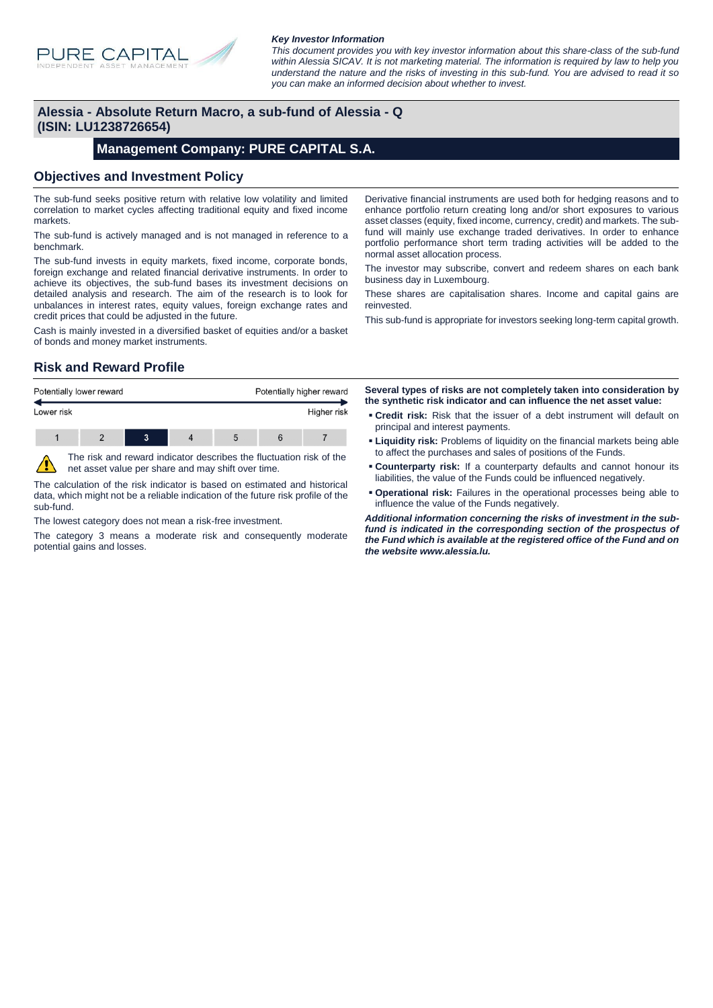

#### *Key Investor Information*

*This document provides you with key investor information about this share-class of the sub-fund within Alessia SICAV. It is not marketing material. The information is required by law to help you understand the nature and the risks of investing in this sub-fund. You are advised to read it so you can make an informed decision about whether to invest.*

#### **Alessia - Absolute Return Macro, a sub-fund of Alessia - Q (ISIN: LU1238726654)**

#### **Management Company: PURE CAPITAL S.A.**

#### **Objectives and Investment Policy**

The sub-fund seeks positive return with relative low volatility and limited correlation to market cycles affecting traditional equity and fixed income markets.

The sub-fund is actively managed and is not managed in reference to a benchmark.

The sub-fund invests in equity markets, fixed income, corporate bonds, foreign exchange and related financial derivative instruments. In order to achieve its objectives, the sub-fund bases its investment decisions on detailed analysis and research. The aim of the research is to look for unbalances in interest rates, equity values, foreign exchange rates and credit prices that could be adjusted in the future.

Cash is mainly invested in a diversified basket of equities and/or a basket of bonds and money market instruments.

Derivative financial instruments are used both for hedging reasons and to enhance portfolio return creating long and/or short exposures to various asset classes (equity, fixed income, currency, credit) and markets. The subfund will mainly use exchange traded derivatives. In order to enhance portfolio performance short term trading activities will be added to the normal asset allocation process.

The investor may subscribe, convert and redeem shares on each bank business day in Luxembourg.

These shares are capitalisation shares. Income and capital gains are reinvested.

This sub-fund is appropriate for investors seeking long-term capital growth.

# **Risk and Reward Profile**



The calculation of the risk indicator is based on estimated and historical data, which might not be a reliable indication of the future risk profile of the sub-fund.

The lowest category does not mean a risk-free investment.

The category 3 means a moderate risk and consequently moderate potential gains and losses.

**Several types of risks are not completely taken into consideration by the synthetic risk indicator and can influence the net asset value:**

- **Credit risk:** Risk that the issuer of a debt instrument will default on principal and interest payments.
- **Example 1 Liquidity risk:** Problems of liquidity on the financial markets being able to affect the purchases and sales of positions of the Funds.
- **Counterparty risk:** If a counterparty defaults and cannot honour its liabilities, the value of the Funds could be influenced negatively.
- **Operational risk:** Failures in the operational processes being able to influence the value of the Funds negatively.

*Additional information concerning the risks of investment in the subfund is indicated in the corresponding section of the prospectus of the Fund which is available at the registered office of the Fund and on the website www.alessia.lu.*